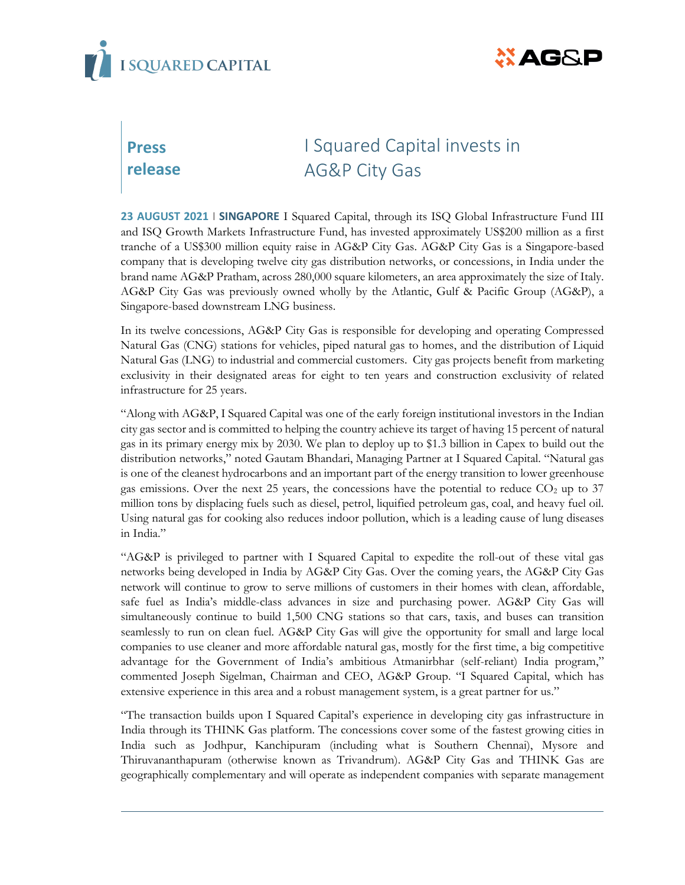



## **Press release**

## I Squared Capital invests in AG&P City Gas

**23 AUGUST 2021** I **SINGAPORE** I Squared Capital, through its ISQ Global Infrastructure Fund III and ISQ Growth Markets Infrastructure Fund, has invested approximately US\$200 million as a first tranche of a US\$300 million equity raise in AG&P City Gas. AG&P City Gas is a Singapore-based company that is developing twelve city gas distribution networks, or concessions, in India under the brand name AG&P Pratham, across 280,000 square kilometers, an area approximately the size of Italy. AG&P City Gas was previously owned wholly by the Atlantic, Gulf & Pacific Group (AG&P), a Singapore-based downstream LNG business.

In its twelve concessions, AG&P City Gas is responsible for developing and operating Compressed Natural Gas (CNG) stations for vehicles, piped natural gas to homes, and the distribution of Liquid Natural Gas (LNG) to industrial and commercial customers. City gas projects benefit from marketing exclusivity in their designated areas for eight to ten years and construction exclusivity of related infrastructure for 25 years.

"Along with AG&P, I Squared Capital was one of the early foreign institutional investors in the Indian city gas sector and is committed to helping the country achieve its target of having 15 percent of natural gas in its primary energy mix by 2030. We plan to deploy up to \$1.3 billion in Capex to build out the distribution networks," noted Gautam Bhandari, Managing Partner at I Squared Capital. "Natural gas is one of the cleanest hydrocarbons and an important part of the energy transition to lower greenhouse gas emissions. Over the next 25 years, the concessions have the potential to reduce  $CO<sub>2</sub>$  up to 37 million tons by displacing fuels such as diesel, petrol, liquified petroleum gas, coal, and heavy fuel oil. Using natural gas for cooking also reduces indoor pollution, which is a leading cause of lung diseases in India."

"AG&P is privileged to partner with I Squared Capital to expedite the roll-out of these vital gas networks being developed in India by AG&P City Gas. Over the coming years, the AG&P City Gas network will continue to grow to serve millions of customers in their homes with clean, affordable, safe fuel as India's middle-class advances in size and purchasing power. AG&P City Gas will simultaneously continue to build 1,500 CNG stations so that cars, taxis, and buses can transition seamlessly to run on clean fuel. AG&P City Gas will give the opportunity for small and large local companies to use cleaner and more affordable natural gas, mostly for the first time, a big competitive advantage for the Government of India's ambitious Atmanirbhar (self-reliant) India program," commented Joseph Sigelman, Chairman and CEO, AG&P Group. "I Squared Capital, which has extensive experience in this area and a robust management system, is a great partner for us."

"The transaction builds upon I Squared Capital's experience in developing city gas infrastructure in India through its THINK Gas platform. The concessions cover some of the fastest growing cities in India such as Jodhpur, Kanchipuram (including what is Southern Chennai), Mysore and Thiruvananthapuram (otherwise known as Trivandrum). AG&P City Gas and THINK Gas are geographically complementary and will operate as independent companies with separate management